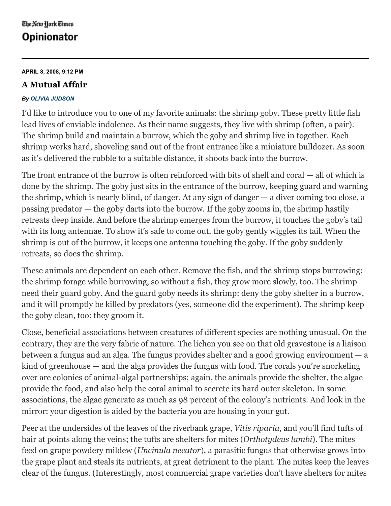# Opinionator

**APRIL 8, 2008, 9:12 PM**

## **A Mutual Affair**

### *By [OLIVIA JUDSON](http://opinionator.blogs.nytimes.com/author/olivia-judson/)*

I'd like to introduce you to one of my favorite animals: the shrimp goby. These pretty little fish lead lives of enviable indolence. As their name suggests, they live with shrimp (often, a pair). The shrimp build and maintain a burrow, which the goby and shrimp live in together. Each shrimp works hard, shoveling sand out of the front entrance like a miniature bulldozer. As soon as it's delivered the rubble to a suitable distance, it shoots back into the burrow.

The front entrance of the burrow is often reinforced with bits of shell and coral — all of which is done by the shrimp. The goby just sits in the entrance of the burrow, keeping guard and warning the shrimp, which is nearly blind, of danger. At any sign of danger — a diver coming too close, a passing predator — the goby darts into the burrow. If the goby zooms in, the shrimp hastily retreats deep inside. And before the shrimp emerges from the burrow, it touches the goby's tail with its long antennae. To show it's safe to come out, the goby gently wiggles its tail. When the shrimp is out of the burrow, it keeps one antenna touching the goby. If the goby suddenly retreats, so does the shrimp.

These animals are dependent on each other. Remove the fish, and the shrimp stops burrowing; the shrimp forage while burrowing, so without a fish, they grow more slowly, too. The shrimp need their guard goby. And the guard goby needs its shrimp: deny the goby shelter in a burrow, and it will promptly be killed by predators (yes, someone did the experiment). The shrimp keep the goby clean, too: they groom it.

Close, beneficial associations between creatures of different species are nothing unusual. On the contrary, they are the very fabric of nature. The lichen you see on that old gravestone is a liaison between a fungus and an alga. The fungus provides shelter and a good growing environment  $-a$ kind of greenhouse — and the alga provides the fungus with food. The corals you're snorkeling over are colonies of animal-algal partnerships; again, the animals provide the shelter, the algae provide the food, and also help the coral animal to secrete its hard outer skeleton. In some associations, the algae generate as much as 98 percent of the colony's nutrients. And look in the mirror: your digestion is aided by the bacteria you are housing in your gut.

Peer at the undersides of the leaves of the riverbank grape, *Vitis riparia*, and you'll find tufts of hair at points along the veins; the tufts are shelters for mites (*Orthotydeus lambi*). The mites feed on grape powdery mildew (*Uncinula necator*), a parasitic fungus that otherwise grows into the grape plant and steals its nutrients, at great detriment to the plant. The mites keep the leaves clear of the fungus. (Interestingly, most commercial grape varieties don't have shelters for mites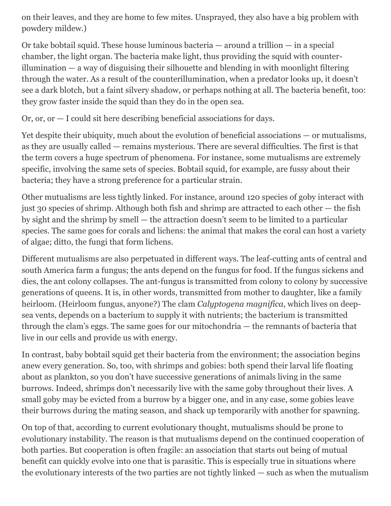on their leaves, and they are home to few mites. Unsprayed, they also have a big problem with powdery mildew.)

Or take bobtail squid. These house luminous bacteria — around a trillion — in a special chamber, the light organ. The bacteria make light, thus providing the squid with counterillumination — a way of disguising their silhouette and blending in with moonlight filtering through the water. As a result of the counterillumination, when a predator looks up, it doesn't see a dark blotch, but a faint silvery shadow, or perhaps nothing at all. The bacteria benefit, too: they grow faster inside the squid than they do in the open sea.

Or, or,  $\sigma$  – I could sit here describing beneficial associations for days.

Yet despite their ubiquity, much about the evolution of beneficial associations — or mutualisms, as they are usually called — remains mysterious. There are several difficulties. The first is that the term covers a huge spectrum of phenomena. For instance, some mutualisms are extremely specific, involving the same sets of species. Bobtail squid, for example, are fussy about their bacteria; they have a strong preference for a particular strain.

Other mutualisms are less tightly linked. For instance, around 120 species of goby interact with just 30 species of shrimp. Although both fish and shrimp are attracted to each other — the fish by sight and the shrimp by smell — the attraction doesn't seem to be limited to a particular species. The same goes for corals and lichens: the animal that makes the coral can host a variety of algae; ditto, the fungi that form lichens.

Different mutualisms are also perpetuated in different ways. The leaf-cutting ants of central and south America farm a fungus; the ants depend on the fungus for food. If the fungus sickens and dies, the ant colony collapses. The ant-fungus is transmitted from colony to colony by successive generations of queens. It is, in other words, transmitted from mother to daughter, like a family heirloom. (Heirloom fungus, anyone?) The clam *Calyptogena magnifica*, which lives on deepsea vents, depends on a bacterium to supply it with nutrients; the bacterium is transmitted through the clam's eggs. The same goes for our mitochondria — the remnants of bacteria that live in our cells and provide us with energy.

In contrast, baby bobtail squid get their bacteria from the environment; the association begins anew every generation. So, too, with shrimps and gobies: both spend their larval life floating about as plankton, so you don't have successive generations of animals living in the same burrows. Indeed, shrimps don't necessarily live with the same goby throughout their lives. A small goby may be evicted from a burrow by a bigger one, and in any case, some gobies leave their burrows during the mating season, and shack up temporarily with another for spawning.

On top of that, according to current evolutionary thought, mutualisms should be prone to evolutionary instability. The reason is that mutualisms depend on the continued cooperation of both parties. But cooperation is often fragile: an association that starts out being of mutual benefit can quickly evolve into one that is parasitic. This is especially true in situations where the evolutionary interests of the two parties are not tightly linked — such as when the mutualism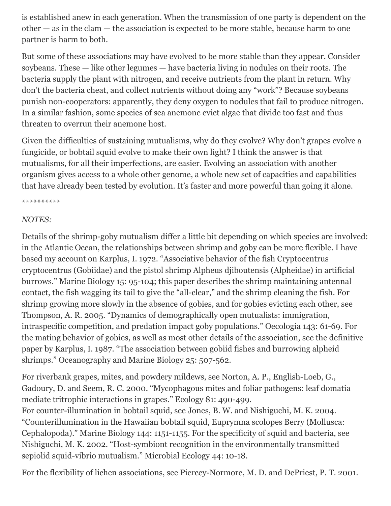is established anew in each generation. When the transmission of one party is dependent on the other — as in the clam — the association is expected to be more stable, because harm to one partner is harm to both.

But some of these associations may have evolved to be more stable than they appear. Consider soybeans. These — like other legumes — have bacteria living in nodules on their roots. The bacteria supply the plant with nitrogen, and receive nutrients from the plant in return. Why don't the bacteria cheat, and collect nutrients without doing any "work"? Because soybeans punish non-cooperators: apparently, they deny oxygen to nodules that fail to produce nitrogen. In a similar fashion, some species of sea anemone evict algae that divide too fast and thus threaten to overrun their anemone host.

Given the difficulties of sustaining mutualisms, why do they evolve? Why don't grapes evolve a fungicide, or bobtail squid evolve to make their own light? I think the answer is that mutualisms, for all their imperfections, are easier. Evolving an association with another organism gives access to a whole other genome, a whole new set of capacities and capabilities that have already been tested by evolution. It's faster and more powerful than going it alone.

#### \*\*\*\*\*\*\*\*\*\*

#### *NOTES:*

Details of the shrimp-goby mutualism differ a little bit depending on which species are involved: in the Atlantic Ocean, the relationships between shrimp and goby can be more flexible. I have based my account on Karplus, I. 1972. "Associative behavior of the fish Cryptocentrus cryptocentrus (Gobiidae) and the pistol shrimp Alpheus djiboutensis (Alpheidae) in artificial burrows." Marine Biology 15: 95-104; this paper describes the shrimp maintaining antennal contact, the fish wagging its tail to give the "all-clear," and the shrimp cleaning the fish. For shrimp growing more slowly in the absence of gobies, and for gobies evicting each other, see Thompson, A. R. 2005. "Dynamics of demographically open mutualists: immigration, intraspecific competition, and predation impact goby populations." Oecologia 143: 61-69. For the mating behavior of gobies, as well as most other details of the association, see the definitive paper by Karplus, I. 1987. "The association between gobiid fishes and burrowing alpheid shrimps." Oceanography and Marine Biology 25: 507-562.

For riverbank grapes, mites, and powdery mildews, see Norton, A. P., English-Loeb, G., Gadoury, D. and Seem, R. C. 2000. "Mycophagous mites and foliar pathogens: leaf domatia mediate tritrophic interactions in grapes." Ecology 81: 490-499.

For counter-illumination in bobtail squid, see Jones, B. W. and Nishiguchi, M. K. 2004. "Counterillumination in the Hawaiian bobtail squid, Euprymna scolopes Berry (Mollusca: Cephalopoda)." Marine Biology 144: 1151-1155. For the specificity of squid and bacteria, see Nishiguchi, M. K. 2002. "Host-symbiont recognition in the environmentally transmitted sepiolid squid-vibrio mutualism." Microbial Ecology 44: 10-18.

For the flexibility of lichen associations, see Piercey-Normore, M. D. and DePriest, P. T. 2001.